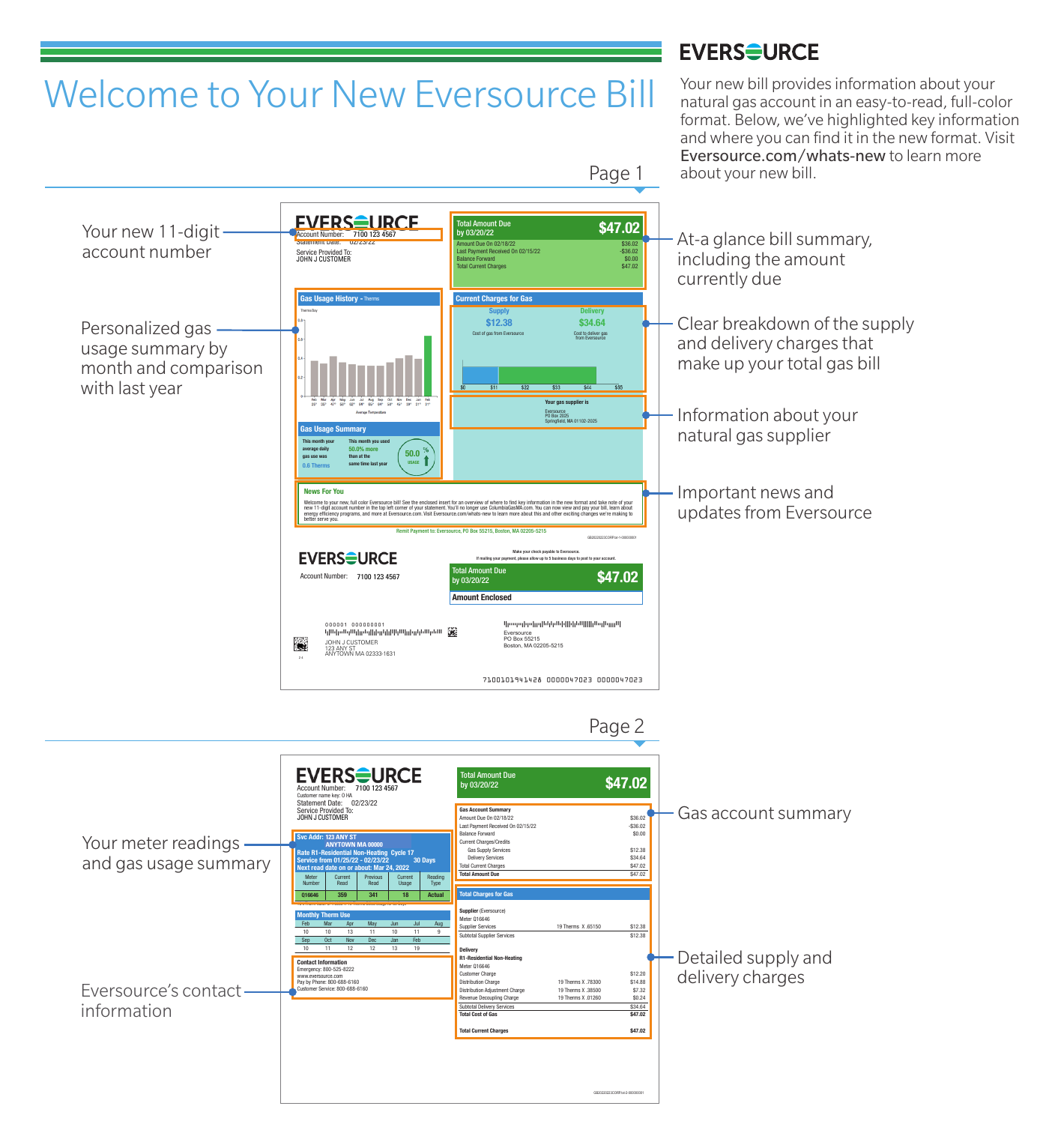